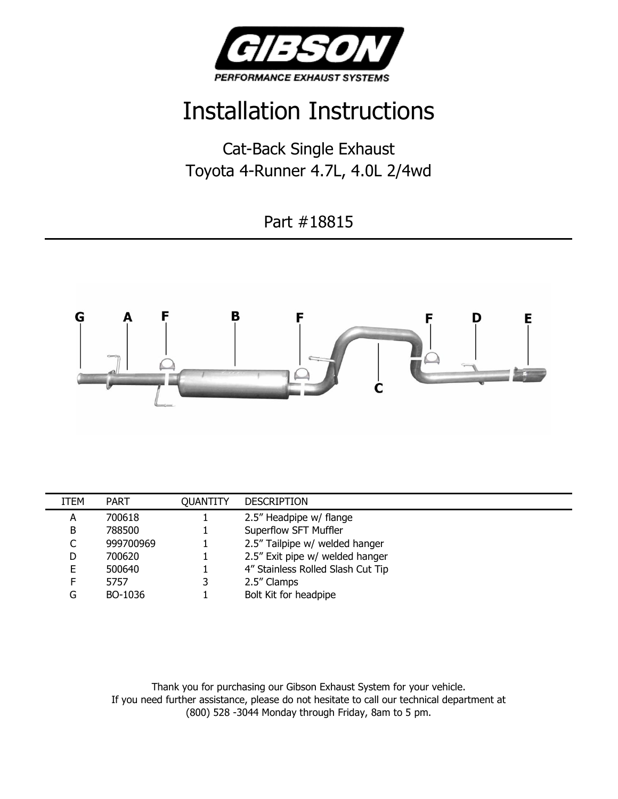

## Installation Instructions

Cat-Back Single Exhaust Toyota 4-Runner 4.7L, 4.0L 2/4wd

Part #18815



| ITEM | <b>PART</b> | QUANTITY | <b>DESCRIPTION</b>                |
|------|-------------|----------|-----------------------------------|
| A    | 700618      |          | 2.5" Headpipe w/ flange           |
| B    | 788500      |          | Superflow SFT Muffler             |
|      | 999700969   |          | 2.5" Tailpipe w/ welded hanger    |
| D    | 700620      |          | 2.5" Exit pipe w/ welded hanger   |
| E.   | 500640      |          | 4" Stainless Rolled Slash Cut Tip |
| E    | 5757        |          | 2.5" Clamps                       |
| G    | BO-1036     |          | Bolt Kit for headpipe             |

Thank you for purchasing our Gibson Exhaust System for your vehicle. If you need further assistance, please do not hesitate to call our technical department at (800) 528 -3044 Monday through Friday, 8am to 5 pm.